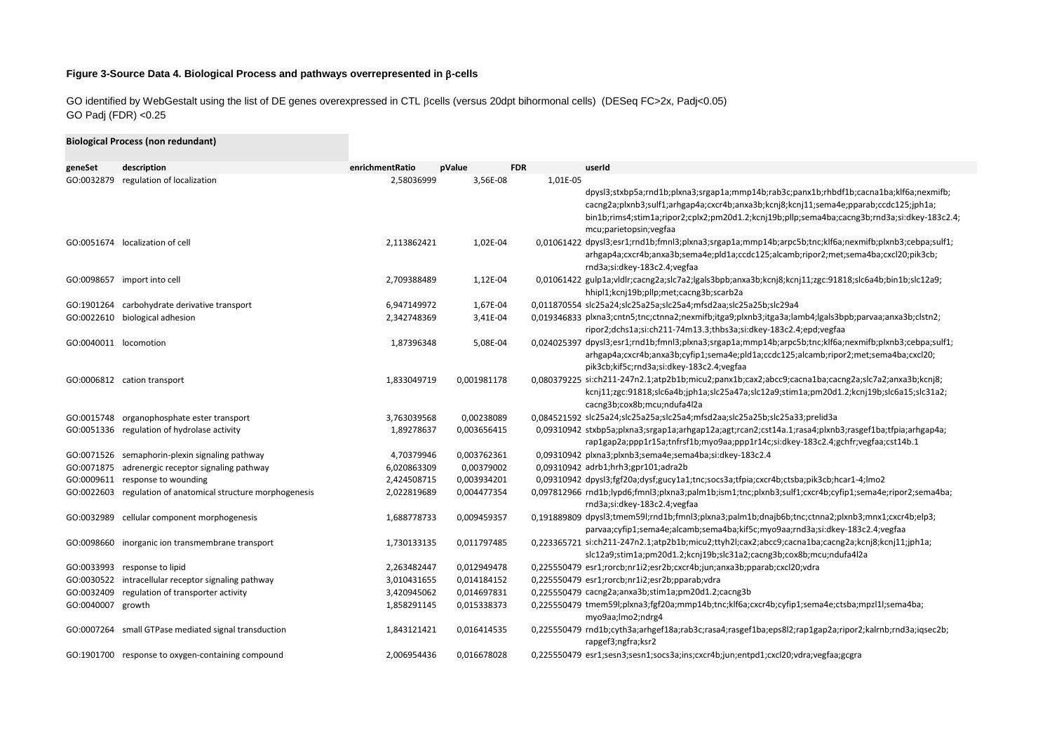## **Figure 3-Source Data 4. Biological Process and pathways overrepresented in** b**-cells**

GO identified by WebGestalt using the list of DE genes overexpressed in CTL ßcells (versus 20dpt bihormonal cells) (DESeq FC>2x, Padj<0.05) GO Padj (FDR) <0.25

|                       | <b>Biological Process (non redundant)</b>                   |                 |             |                                                                                                                                                                                                                                                                                                                        |
|-----------------------|-------------------------------------------------------------|-----------------|-------------|------------------------------------------------------------------------------------------------------------------------------------------------------------------------------------------------------------------------------------------------------------------------------------------------------------------------|
| geneSet               | description                                                 | enrichmentRatio | pValue      | <b>FDR</b><br>userId                                                                                                                                                                                                                                                                                                   |
| GO:0032879            | regulation of localization                                  | 2,58036999      | 3,56E-08    | 1,01E-05<br>dpysl3;stxbp5a;rnd1b;plxna3;srgap1a;mmp14b;rab3c;panx1b;rhbdf1b;cacna1ba;klf6a;nexmifb;<br>cacng2a;plxnb3;sulf1;arhgap4a;cxcr4b;anxa3b;kcnj8;kcnj11;sema4e;pparab;ccdc125;jph1a;<br>bin1b;rims4;stim1a;ripor2;cplx2;pm20d1.2;kcnj19b;pllp;sema4ba;cacng3b;rnd3a;si:dkey-183c2.4;<br>mcu;parietopsin;vegfaa |
|                       | GO:0051674 localization of cell                             | 2,113862421     | 1,02E-04    | 0,01061422 dpysl3;esr1;rnd1b;fmnl3;plxna3;srgap1a;mmp14b;arpc5b;tnc;klf6a;nexmifb;plxnb3;cebpa;sulf1;<br>arhgap4a;cxcr4b;anxa3b;sema4e;pld1a;ccdc125;alcamb;ripor2;met;sema4ba;cxcl20;pik3cb;<br>rnd3a;si:dkey-183c2.4;vegfaa                                                                                          |
|                       | GO:0098657 import into cell                                 | 2,709388489     | 1,12E-04    | 0,01061422 gulp1a;vldlr;cacng2a;slc7a2;lgals3bpb;anxa3b;kcnj8;kcnj11;zgc:91818;slc6a4b;bin1b;slc12a9;<br>hhipl1;kcnj19b;pllp;met;cacng3b;scarb2a                                                                                                                                                                       |
|                       | GO:1901264 carbohydrate derivative transport                | 6,947149972     | 1,67E-04    | 0,011870554 slc25a24;slc25a25a;slc25a4;mfsd2aa;slc25a25b;slc29a4                                                                                                                                                                                                                                                       |
| GO:0022610            | biological adhesion                                         | 2,342748369     | 3,41E-04    | 0,019346833 plxna3;cntn5;tnc;ctnna2;nexmifb;itga9;plxnb3;itga3a;lamb4;lgals3bpb;parvaa;anxa3b;clstn2;<br>ripor2;dchs1a;si:ch211-74m13.3;thbs3a;si:dkey-183c2.4;epd;vegfaa                                                                                                                                              |
| GO:0040011 locomotion |                                                             | 1,87396348      | 5,08E-04    | 0,024025397 dpysl3;esr1;rnd1b;fmnl3;plxna3;srgap1a;mmp14b;arpc5b;tnc;klf6a;nexmifb;plxnb3;cebpa;sulf1;<br>arhgap4a;cxcr4b;anxa3b;cyfip1;sema4e;pld1a;ccdc125;alcamb;ripor2;met;sema4ba;cxcl20;<br>pik3cb;kif5c;rnd3a;si:dkey-183c2.4;vegfaa                                                                            |
|                       | GO:0006812 cation transport                                 | 1,833049719     | 0,001981178 | 0,080379225 si:ch211-247n2.1;atp2b1b;micu2;panx1b;cax2;abcc9;cacna1ba;cacng2a;slc7a2;anxa3b;kcnj8;<br>kcnj11;zgc:91818;slc6a4b;jph1a;slc25a47a;slc12a9;stim1a;pm20d1.2;kcnj19b;slc6a15;slc31a2;<br>cacng3b;cox8b;mcu;ndufa4l2a                                                                                         |
| GO:0015748            | organophosphate ester transport                             | 3,763039568     | 0,00238089  | 0,084521592 slc25a24;slc25a25a;slc25a4;mfsd2aa;slc25a25b;slc25a33;prelid3a                                                                                                                                                                                                                                             |
|                       | GO:0051336 regulation of hydrolase activity                 | 1,89278637      | 0,003656415 | 0,09310942 stxbp5a;plxna3;srgap1a;arhgap12a;agt;rcan2;cst14a.1;rasa4;plxnb3;rasgef1ba;tfpia;arhgap4a;<br>rap1gap2a;ppp1r15a;tnfrsf1b;myo9aa;ppp1r14c;si:dkey-183c2.4;gchfr;vegfaa;cst14b.1                                                                                                                             |
|                       | GO:0071526 semaphorin-plexin signaling pathway              | 4,70379946      | 0,003762361 | 0,09310942 plxna3;plxnb3;sema4e;sema4ba;si:dkey-183c2.4                                                                                                                                                                                                                                                                |
|                       | GO:0071875 adrenergic receptor signaling pathway            | 6,020863309     | 0,00379002  | 0,09310942 adrb1;hrh3;gpr101;adra2b                                                                                                                                                                                                                                                                                    |
|                       | GO:0009611 response to wounding                             | 2,424508715     | 0,003934201 | 0,09310942 dpysl3;fgf20a;dysf;gucy1a1;tnc;socs3a;tfpia;cxcr4b;ctsba;pik3cb;hcar1-4;lmo2                                                                                                                                                                                                                                |
|                       | GO:0022603 regulation of anatomical structure morphogenesis | 2,022819689     | 0,004477354 | 0,097812966 rnd1b;lypd6;fmnl3;plxna3;palm1b;ism1;tnc;plxnb3;sulf1;cxcr4b;cyfip1;sema4e;ripor2;sema4ba;<br>rnd3a;si:dkey-183c2.4;vegfaa                                                                                                                                                                                 |
|                       | GO:0032989 cellular component morphogenesis                 | 1,688778733     | 0,009459357 | 0,191889809 dpysl3;tmem59l;rnd1b;fmnl3;plxna3;palm1b;dnajb6b;tnc;ctnna2;plxnb3;mnx1;cxcr4b;elp3;<br>parvaa;cyfip1;sema4e;alcamb;sema4ba;kif5c;myo9aa;rnd3a;si:dkey-183c2.4;vegfaa                                                                                                                                      |
|                       | GO:0098660 inorganic ion transmembrane transport            | 1,730133135     | 0,011797485 | 0,223365721 si:ch211-247n2.1;atp2b1b;micu2;ttyh2l;cax2;abcc9;cacna1ba;cacng2a;kcnj8;kcnj11;jph1a;<br>slc12a9;stim1a;pm20d1.2;kcnj19b;slc31a2;cacng3b;cox8b;mcu;ndufa4l2a                                                                                                                                               |
|                       | GO:0033993 response to lipid                                | 2,263482447     | 0,012949478 | 0,225550479 esr1;rorcb;nr1i2;esr2b;cxcr4b;jun;anxa3b;pparab;cxcl20;vdra                                                                                                                                                                                                                                                |
| GO:0030522            | intracellular receptor signaling pathway                    | 3,010431655     | 0,014184152 | 0,225550479 esr1;rorcb;nr1i2;esr2b;pparab;vdra                                                                                                                                                                                                                                                                         |
| GO:0032409            | regulation of transporter activity                          | 3,420945062     | 0,014697831 | 0,225550479 cacng2a;anxa3b;stim1a;pm20d1.2;cacng3b                                                                                                                                                                                                                                                                     |
| GO:0040007            | growth                                                      | 1,858291145     | 0,015338373 | 0,225550479 tmem59l;plxna3;fgf20a;mmp14b;tnc;klf6a;cxcr4b;cyfip1;sema4e;ctsba;mpzl1l;sema4ba;<br>myo9aa;lmo2;ndrg4                                                                                                                                                                                                     |
|                       | GO:0007264 small GTPase mediated signal transduction        | 1,843121421     | 0,016414535 | 0,225550479 rnd1b;cyth3a;arhgef18a;rab3c;rasa4;rasgef1ba;eps8l2;rap1gap2a;ripor2;kalrnb;rnd3a;iqsec2b;<br>rapgef3;ngfra;ksr2                                                                                                                                                                                           |
|                       | GO:1901700 response to oxygen-containing compound           | 2,006954436     | 0,016678028 | 0,225550479 esr1;sesn3;sesn1;socs3a;ins;cxcr4b;jun;entpd1;cxcl20;vdra;vegfaa;gcgra                                                                                                                                                                                                                                     |